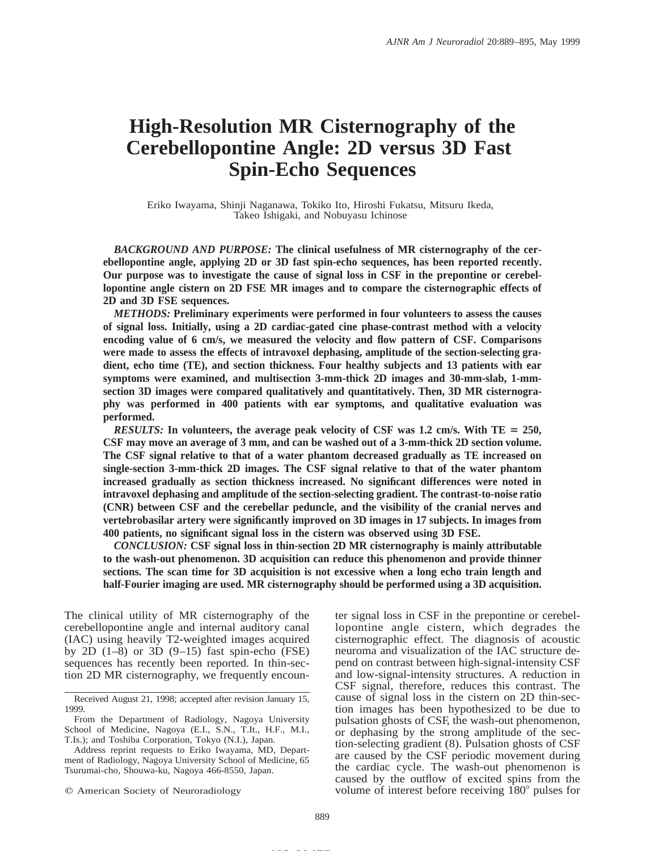# **High-Resolution MR Cisternography of the Cerebellopontine Angle: 2D versus 3D Fast Spin-Echo Sequences**

Eriko Iwayama, Shinji Naganawa, Tokiko Ito, Hiroshi Fukatsu, Mitsuru Ikeda, Takeo Ishigaki, and Nobuyasu Ichinose

*BACKGROUND AND PURPOSE:* **The clinical usefulness of MR cisternography of the cerebellopontine angle, applying 2D or 3D fast spin-echo sequences, has been reported recently. Our purpose was to investigate the cause of signal loss in CSF in the prepontine or cerebellopontine angle cistern on 2D FSE MR images and to compare the cisternographic effects of 2D and 3D FSE sequences.**

*METHODS:* **Preliminary experiments were performed in four volunteers to assess the causes of signal loss. Initially, using a 2D cardiac-gated cine phase-contrast method with a velocity encoding value of 6 cm/s, we measured the velocity and flow pattern of CSF. Comparisons were made to assess the effects of intravoxel dephasing, amplitude of the section-selecting gradient, echo time (TE), and section thickness. Four healthy subjects and 13 patients with ear symptoms were examined, and multisection 3-mm-thick 2D images and 30-mm-slab, 1-mmsection 3D images were compared qualitatively and quantitatively. Then, 3D MR cisternography was performed in 400 patients with ear symptoms, and qualitative evaluation was performed.**

*RESULTS:* In volunteers, the average peak velocity of CSF was 1.2 cm/s. With  $TE = 250$ , **CSF may move an average of 3 mm, and can be washed out of a 3-mm-thick 2D section volume. The CSF signal relative to that of a water phantom decreased gradually as TE increased on single-section 3-mm-thick 2D images. The CSF signal relative to that of the water phantom increased gradually as section thickness increased. No significant differences were noted in intravoxel dephasing and amplitude of the section-selecting gradient. The contrast-to-noise ratio (CNR) between CSF and the cerebellar peduncle, and the visibility of the cranial nerves and vertebrobasilar artery were significantly improved on 3D images in 17 subjects. In images from 400 patients, no significant signal loss in the cistern was observed using 3D FSE.**

*CONCLUSION:* **CSF signal loss in thin-section 2D MR cisternography is mainly attributable to the wash-out phenomenon. 3D acquisition can reduce this phenomenon and provide thinner sections. The scan time for 3D acquisition is not excessive when a long echo train length and half-Fourier imaging are used. MR cisternography should be performed using a 3D acquisition.**

The clinical utility of MR cisternography of the cerebellopontine angle and internal auditory canal (IAC) using heavily T2-weighted images acquired by 2D  $(1-8)$  or 3D  $(9-15)$  fast spin-echo (FSE) sequences has recently been reported. In thin-section 2D MR cisternography, we frequently encoun-

 $©$  American Society of Neuroradiology

ter signal loss in CSF in the prepontine or cerebellopontine angle cistern, which degrades the cisternographic effect. The diagnosis of acoustic neuroma and visualization of the IAC structure depend on contrast between high-signal-intensity CSF and low-signal-intensity structures. A reduction in CSF signal, therefore, reduces this contrast. The cause of signal loss in the cistern on 2D thin-section images has been hypothesized to be due to pulsation ghosts of CSF, the wash-out phenomenon, or dephasing by the strong amplitude of the section-selecting gradient (8). Pulsation ghosts of CSF are caused by the CSF periodic movement during the cardiac cycle. The wash-out phenomenon is caused by the outflow of excited spins from the volume of interest before receiving  $180^\circ$  pulses for

Received August 21, 1998; accepted after revision January 15, 1999.

From the Department of Radiology, Nagoya University School of Medicine, Nagoya (E.I., S.N., T.It., H.F., M.I., T.Is.); and Toshiba Corporation, Tokyo (N.I.), Japan.

Address reprint requests to Eriko Iwayama, MD, Department of Radiology, Nagoya University School of Medicine, 65 Tsurumai-cho, Shouwa-ku, Nagoya 466-8550, Japan.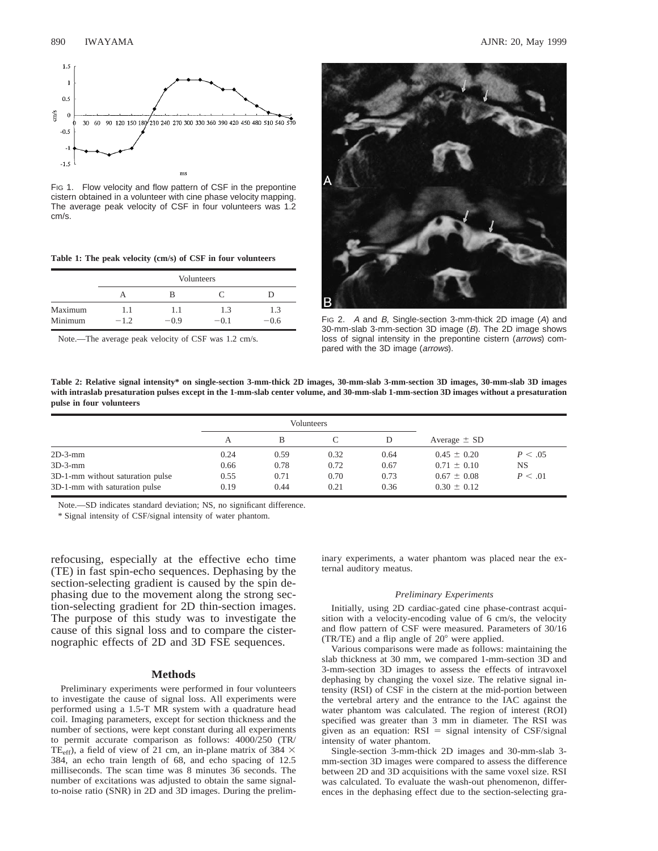

FIG 1. Flow velocity and flow pattern of CSF in the prepontine cistern obtained in a volunteer with cine phase velocity mapping. The average peak velocity of CSF in four volunteers was 1.2 cm/s.

|  |  |  |  |  |  | Table 1: The peak velocity (cm/s) of CSF in four volunteers |
|--|--|--|--|--|--|-------------------------------------------------------------|
|--|--|--|--|--|--|-------------------------------------------------------------|

|         | Volunteers |        |        |        |  |  |
|---------|------------|--------|--------|--------|--|--|
|         |            | в      |        |        |  |  |
| Maximum | 1.1        | 11     | 1.3    | 1.3    |  |  |
| Minimum | $-1.2$     | $-0.9$ | $-0.1$ | $-0.6$ |  |  |

Note.—The average peak velocity of CSF was 1.2 cm/s.



FIG 2. A and B, Single-section 3-mm-thick 2D image (A) and 30-mm-slab 3-mm-section 3D image (B). The 2D image shows loss of signal intensity in the prepontine cistern (arrows) compared with the 3D image (arrows).

**Table 2: Relative signal intensity\* on single-section 3-mm-thick 2D images, 30-mm-slab 3-mm-section 3D images, 30-mm-slab 3D images with intraslab presaturation pulses except in the 1-mm-slab center volume, and 30-mm-slab 1-mm-section 3D images without a presaturation pulse in four volunteers**

|                                  | Volunteers |      |      |      |                  |          |
|----------------------------------|------------|------|------|------|------------------|----------|
|                                  |            |      |      |      | Average $\pm$ SD |          |
| $2D-3-mm$                        | 0.24       | 0.59 | 0.32 | 0.64 | $0.45 \pm 0.20$  | P < .05  |
| $3D-3-mm$                        | 0.66       | 0.78 | 0.72 | 0.67 | $0.71 \pm 0.10$  | NS       |
| 3D-1-mm without saturation pulse | 0.55       | 0.71 | 0.70 | 0.73 | $0.67 \pm 0.08$  | P < 0.01 |
| 3D-1-mm with saturation pulse    | 0.19       | 0.44 | 0.21 | 0.36 | $0.30 \pm 0.12$  |          |

Note.—SD indicates standard deviation; NS, no significant difference.

\* Signal intensity of CSF/signal intensity of water phantom.

refocusing, especially at the effective echo time (TE) in fast spin-echo sequences. Dephasing by the section-selecting gradient is caused by the spin dephasing due to the movement along the strong section-selecting gradient for 2D thin-section images. The purpose of this study was to investigate the cause of this signal loss and to compare the cisternographic effects of 2D and 3D FSE sequences.

#### **Methods**

Preliminary experiments were performed in four volunteers to investigate the cause of signal loss. All experiments were performed using a 1.5-T MR system with a quadrature head coil. Imaging parameters, except for section thickness and the number of sections, were kept constant during all experiments to permit accurate comparison as follows: 4000/250 (TR/ TE<sub>eff</sub>), a field of view of 21 cm, an in-plane matrix of 384  $\times$ 384, an echo train length of 68, and echo spacing of 12.5 milliseconds. The scan time was 8 minutes 36 seconds. The number of excitations was adjusted to obtain the same signalto-noise ratio (SNR) in 2D and 3D images. During the preliminary experiments, a water phantom was placed near the external auditory meatus.

#### *Preliminary Experiments*

Initially, using 2D cardiac-gated cine phase-contrast acquisition with a velocity-encoding value of 6 cm/s, the velocity and flow pattern of CSF were measured. Parameters of 30/16 (TR/TE) and a flip angle of  $20^{\circ}$  were applied.

Various comparisons were made as follows: maintaining the slab thickness at 30 mm, we compared 1-mm-section 3D and 3-mm-section 3D images to assess the effects of intravoxel dephasing by changing the voxel size. The relative signal intensity (RSI) of CSF in the cistern at the mid-portion between the vertebral artery and the entrance to the IAC against the water phantom was calculated. The region of interest (ROI) specified was greater than 3 mm in diameter. The RSI was given as an equation:  $RSI = signal$  intensity of  $CSF/signal$ intensity of water phantom.

Single-section 3-mm-thick 2D images and 30-mm-slab 3 mm-section 3D images were compared to assess the difference between 2D and 3D acquisitions with the same voxel size. RSI was calculated. To evaluate the wash-out phenomenon, differences in the dephasing effect due to the section-selecting gra-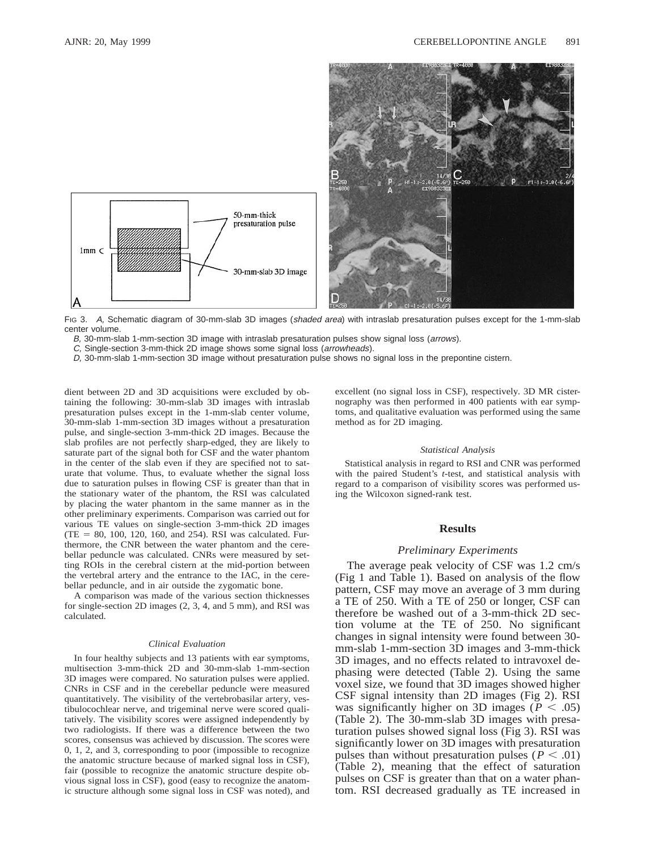

FIG 3. A, Schematic diagram of 30-mm-slab 3D images (shaded area) with intraslab presaturation pulses except for the 1-mm-slab center volume.

B, 30-mm-slab 1-mm-section 3D image with intraslab presaturation pulses show signal loss (arrows).

C, Single-section 3-mm-thick 2D image shows some signal loss (arrowheads).

D, 30-mm-slab 1-mm-section 3D image without presaturation pulse shows no signal loss in the prepontine cistern.

dient between 2D and 3D acquisitions were excluded by obtaining the following: 30-mm-slab 3D images with intraslab presaturation pulses except in the 1-mm-slab center volume, 30-mm-slab 1-mm-section 3D images without a presaturation pulse, and single-section 3-mm-thick 2D images. Because the slab profiles are not perfectly sharp-edged, they are likely to saturate part of the signal both for CSF and the water phantom in the center of the slab even if they are specified not to saturate that volume. Thus, to evaluate whether the signal loss due to saturation pulses in flowing CSF is greater than that in the stationary water of the phantom, the RSI was calculated by placing the water phantom in the same manner as in the other preliminary experiments. Comparison was carried out for various TE values on single-section 3-mm-thick 2D images  $(TE = 80, 100, 120, 160, and 254)$ . RSI was calculated. Furthermore, the CNR between the water phantom and the cerebellar peduncle was calculated. CNRs were measured by setting ROIs in the cerebral cistern at the mid-portion between the vertebral artery and the entrance to the IAC, in the cerebellar peduncle, and in air outside the zygomatic bone.

A comparison was made of the various section thicknesses for single-section 2D images (2, 3, 4, and 5 mm), and RSI was calculated.

#### *Clinical Evaluation*

In four healthy subjects and 13 patients with ear symptoms, multisection 3-mm-thick 2D and 30-mm-slab 1-mm-section 3D images were compared. No saturation pulses were applied. CNRs in CSF and in the cerebellar peduncle were measured quantitatively. The visibility of the vertebrobasilar artery, vestibulocochlear nerve, and trigeminal nerve were scored qualitatively. The visibility scores were assigned independently by two radiologists. If there was a difference between the two scores, consensus was achieved by discussion. The scores were 0, 1, 2, and 3, corresponding to poor (impossible to recognize the anatomic structure because of marked signal loss in CSF), fair (possible to recognize the anatomic structure despite obvious signal loss in CSF), good (easy to recognize the anatomic structure although some signal loss in CSF was noted), and excellent (no signal loss in CSF), respectively. 3D MR cisternography was then performed in 400 patients with ear symptoms, and qualitative evaluation was performed using the same method as for 2D imaging.

#### *Statistical Analysis*

Statistical analysis in regard to RSI and CNR was performed with the paired Student's *t*-test, and statistical analysis with regard to a comparison of visibility scores was performed using the Wilcoxon signed-rank test.

# **Results**

#### *Preliminary Experiments*

The average peak velocity of CSF was 1.2 cm/s (Fig 1 and Table 1). Based on analysis of the flow pattern, CSF may move an average of 3 mm during a TE of 250. With a TE of 250 or longer, CSF can therefore be washed out of a 3-mm-thick 2D section volume at the TE of 250. No significant changes in signal intensity were found between 30 mm-slab 1-mm-section 3D images and 3-mm-thick 3D images, and no effects related to intravoxel dephasing were detected (Table 2). Using the same voxel size, we found that 3D images showed higher CSF signal intensity than 2D images (Fig 2). RSI was significantly higher on 3D images ( $P < .05$ ) (Table 2). The 30-mm-slab 3D images with presaturation pulses showed signal loss (Fig 3). RSI was significantly lower on 3D images with presaturation pulses than without presaturation pulses ( $P < .01$ ) (Table 2), meaning that the effect of saturation pulses on CSF is greater than that on a water phantom. RSI decreased gradually as TE increased in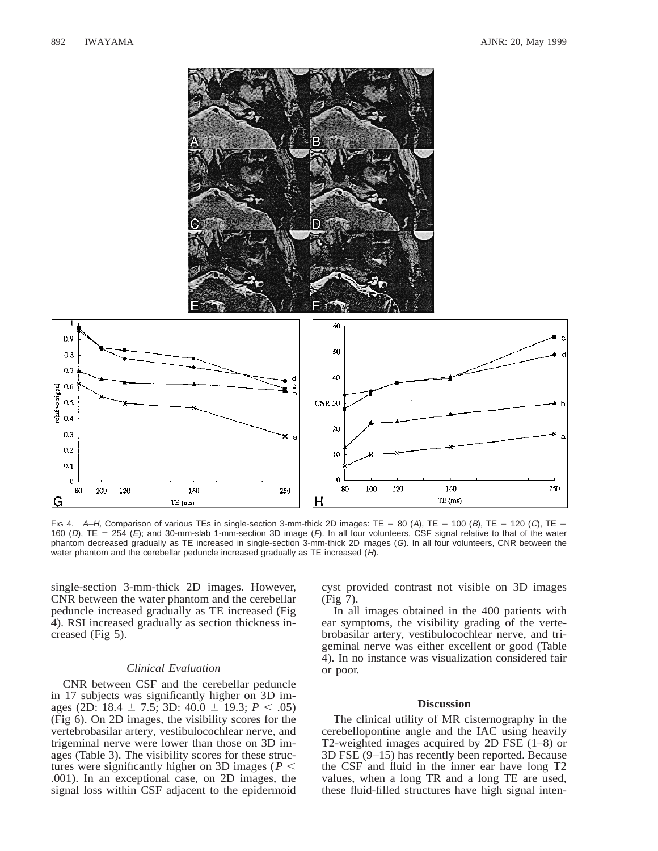

Fig 4. A–H, Comparison of various TEs in single-section 3-mm-thick 2D images: TE = 80 (A), TE = 100 (B), TE = 120 (C), TE = 160 (D),  $TE = 254$  (E); and 30-mm-slab 1-mm-section 3D image (F). In all four volunteers, CSF signal relative to that of the water phantom decreased gradually as TE increased in single-section 3-mm-thick 2D images (G). In all four volunteers, CNR between the water phantom and the cerebellar peduncle increased gradually as TE increased (H).

single-section 3-mm-thick 2D images. However, CNR between the water phantom and the cerebellar peduncle increased gradually as TE increased (Fig 4). RSI increased gradually as section thickness increased (Fig 5).

#### *Clinical Evaluation*

CNR between CSF and the cerebellar peduncle in 17 subjects was significantly higher on 3D images (2D: 18.4  $\pm$  7.5; 3D: 40.0  $\pm$  19.3; *P* < .05) (Fig 6). On 2D images, the visibility scores for the vertebrobasilar artery, vestibulocochlear nerve, and trigeminal nerve were lower than those on 3D images (Table 3). The visibility scores for these structures were significantly higher on 3D images ( $P$  < .001). In an exceptional case, on 2D images, the signal loss within CSF adjacent to the epidermoid cyst provided contrast not visible on 3D images (Fig 7).

In all images obtained in the 400 patients with ear symptoms, the visibility grading of the vertebrobasilar artery, vestibulocochlear nerve, and trigeminal nerve was either excellent or good (Table 4). In no instance was visualization considered fair or poor.

## **Discussion**

The clinical utility of MR cisternography in the cerebellopontine angle and the IAC using heavily T2-weighted images acquired by 2D FSE (1–8) or 3D FSE (9–15) has recently been reported. Because the CSF and fluid in the inner ear have long T2 values, when a long TR and a long TE are used, these fluid-filled structures have high signal inten-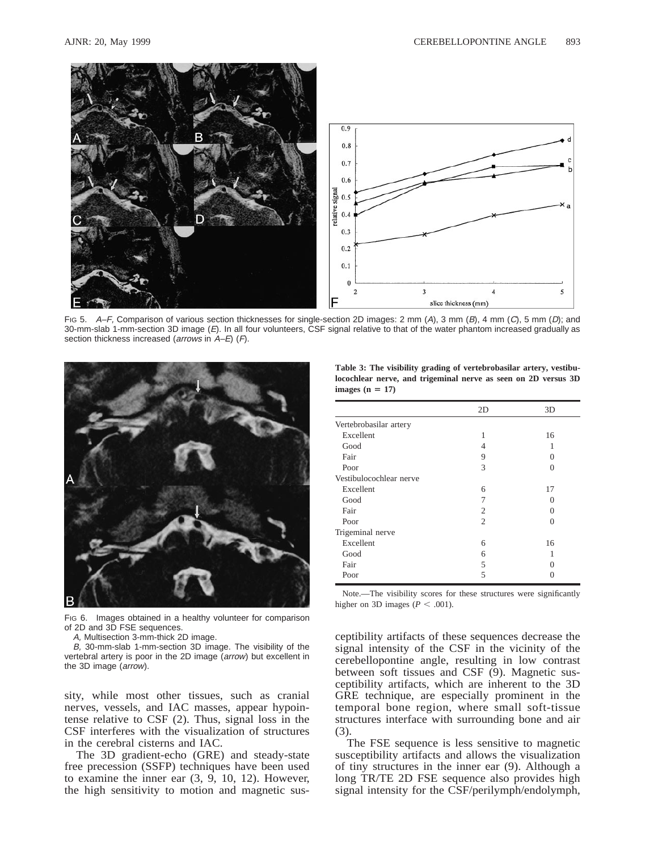

Fig 5. A–F, Comparison of various section thicknesses for single-section 2D images: 2 mm (A), 3 mm (B), 4 mm (C), 5 mm (D); and 30-mm-slab 1-mm-section 3D image (E). In all four volunteers, CSF signal relative to that of the water phantom increased gradually as section thickness increased (arrows in A–E) (F).



FIG 6. Images obtained in a healthy volunteer for comparison of 2D and 3D FSE sequences.

A, Multisection 3-mm-thick 2D image.

B, 30-mm-slab 1-mm-section 3D image. The visibility of the vertebral artery is poor in the 2D image (arrow) but excellent in the 3D image (arrow).

sity, while most other tissues, such as cranial nerves, vessels, and IAC masses, appear hypointense relative to CSF (2). Thus, signal loss in the CSF interferes with the visualization of structures in the cerebral cisterns and IAC.

The 3D gradient-echo (GRE) and steady-state free precession (SSFP) techniques have been used to examine the inner ear (3, 9, 10, 12). However, the high sensitivity to motion and magnetic sus-

**Table 3: The visibility grading of vertebrobasilar artery, vestibulocochlear nerve, and trigeminal nerve as seen on 2D versus 3D**  $images (n = 17)$ 

|                         | 2D             | 3D       |
|-------------------------|----------------|----------|
| Vertebrobasilar artery  |                |          |
| Excellent               | 1              | 16       |
| Good                    | 4              |          |
| Fair                    | 9              | $\Omega$ |
| Poor                    | 3              | 0        |
| Vestibulocochlear nerve |                |          |
| Excellent               | 6              | 17       |
| Good                    | 7              | $\Omega$ |
| Fair                    | 2              | $\Omega$ |
| Poor                    | $\overline{c}$ | 0        |
| Trigeminal nerve        |                |          |
| Excellent               | 6              | 16       |
| Good                    | 6              |          |
| Fair                    | 5              | $\Omega$ |
| Poor                    | 5              | 0        |

Note.—The visibility scores for these structures were significantly higher on 3D images ( $P < .001$ ).

ceptibility artifacts of these sequences decrease the signal intensity of the CSF in the vicinity of the cerebellopontine angle, resulting in low contrast between soft tissues and CSF (9). Magnetic susceptibility artifacts, which are inherent to the 3D GRE technique, are especially prominent in the temporal bone region, where small soft-tissue structures interface with surrounding bone and air (3).

The FSE sequence is less sensitive to magnetic susceptibility artifacts and allows the visualization of tiny structures in the inner ear (9). Although a long TR/TE 2D FSE sequence also provides high signal intensity for the CSF/perilymph/endolymph,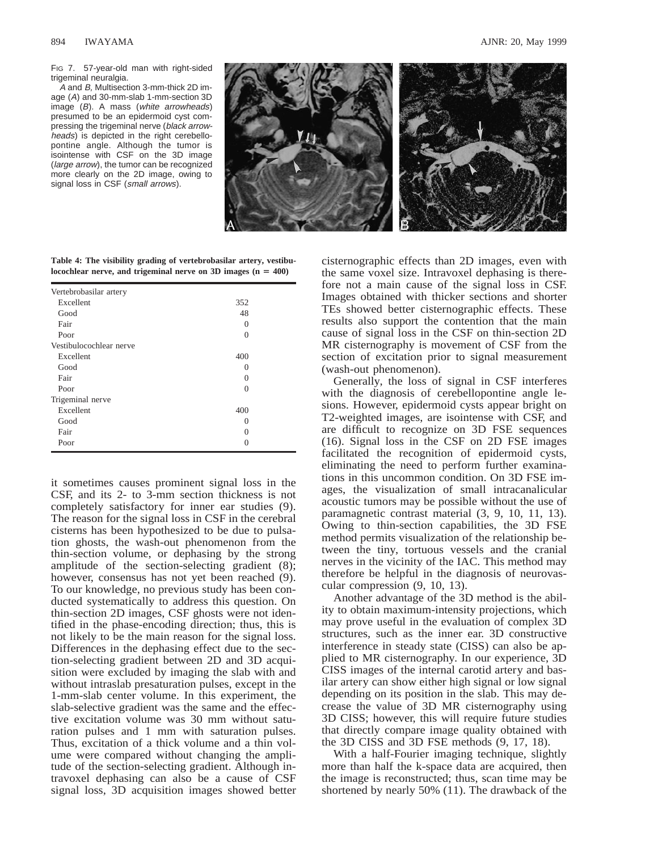FIG 7. 57-year-old man with right-sided trigeminal neuralgia.

A and B, Multisection 3-mm-thick 2D image (A) and 30-mm-slab 1-mm-section 3D image (B). A mass (white arrowheads) presumed to be an epidermoid cyst compressing the trigeminal nerve (black arrowheads) is depicted in the right cerebellopontine angle. Although the tumor is isointense with CSF on the 3D image (large arrow), the tumor can be recognized more clearly on the 2D image, owing to signal loss in CSF (small arrows).



**Table 4: The visibility grading of vertebrobasilar artery, vestibu** $locochlear$  nerve, and trigeminal nerve on 3D images  $(n = 400)$ 

| 352               |  |
|-------------------|--|
| 48                |  |
| $\Omega$          |  |
| 0                 |  |
|                   |  |
| 400               |  |
| $\mathbf{\Omega}$ |  |
| $\Omega$          |  |
| 0                 |  |
|                   |  |
| 400               |  |
| $\mathbf{\Omega}$ |  |
| 0                 |  |
| 0                 |  |
|                   |  |

it sometimes causes prominent signal loss in the CSF, and its 2- to 3-mm section thickness is not completely satisfactory for inner ear studies (9). The reason for the signal loss in CSF in the cerebral cisterns has been hypothesized to be due to pulsation ghosts, the wash-out phenomenon from the thin-section volume, or dephasing by the strong amplitude of the section-selecting gradient (8); however, consensus has not yet been reached (9). To our knowledge, no previous study has been conducted systematically to address this question. On thin-section 2D images, CSF ghosts were not identified in the phase-encoding direction; thus, this is not likely to be the main reason for the signal loss. Differences in the dephasing effect due to the section-selecting gradient between 2D and 3D acquisition were excluded by imaging the slab with and without intraslab presaturation pulses, except in the 1-mm-slab center volume. In this experiment, the slab-selective gradient was the same and the effective excitation volume was 30 mm without saturation pulses and 1 mm with saturation pulses. Thus, excitation of a thick volume and a thin volume were compared without changing the amplitude of the section-selecting gradient. Although intravoxel dephasing can also be a cause of CSF signal loss, 3D acquisition images showed better cisternographic effects than 2D images, even with the same voxel size. Intravoxel dephasing is therefore not a main cause of the signal loss in CSF. Images obtained with thicker sections and shorter TEs showed better cisternographic effects. These results also support the contention that the main cause of signal loss in the CSF on thin-section 2D MR cisternography is movement of CSF from the section of excitation prior to signal measurement (wash-out phenomenon).

Generally, the loss of signal in CSF interferes with the diagnosis of cerebellopontine angle lesions. However, epidermoid cysts appear bright on T2-weighted images, are isointense with CSF, and are difficult to recognize on 3D FSE sequences (16). Signal loss in the CSF on 2D FSE images facilitated the recognition of epidermoid cysts, eliminating the need to perform further examinations in this uncommon condition. On 3D FSE images, the visualization of small intracanalicular acoustic tumors may be possible without the use of paramagnetic contrast material (3, 9, 10, 11, 13). Owing to thin-section capabilities, the 3D FSE method permits visualization of the relationship between the tiny, tortuous vessels and the cranial nerves in the vicinity of the IAC. This method may therefore be helpful in the diagnosis of neurovascular compression (9, 10, 13).

Another advantage of the 3D method is the ability to obtain maximum-intensity projections, which may prove useful in the evaluation of complex 3D structures, such as the inner ear. 3D constructive interference in steady state (CISS) can also be applied to MR cisternography. In our experience, 3D CISS images of the internal carotid artery and basilar artery can show either high signal or low signal depending on its position in the slab. This may decrease the value of 3D MR cisternography using 3D CISS; however, this will require future studies that directly compare image quality obtained with the 3D CISS and 3D FSE methods (9, 17, 18).

With a half-Fourier imaging technique, slightly more than half the k-space data are acquired, then the image is reconstructed; thus, scan time may be shortened by nearly 50% (11). The drawback of the